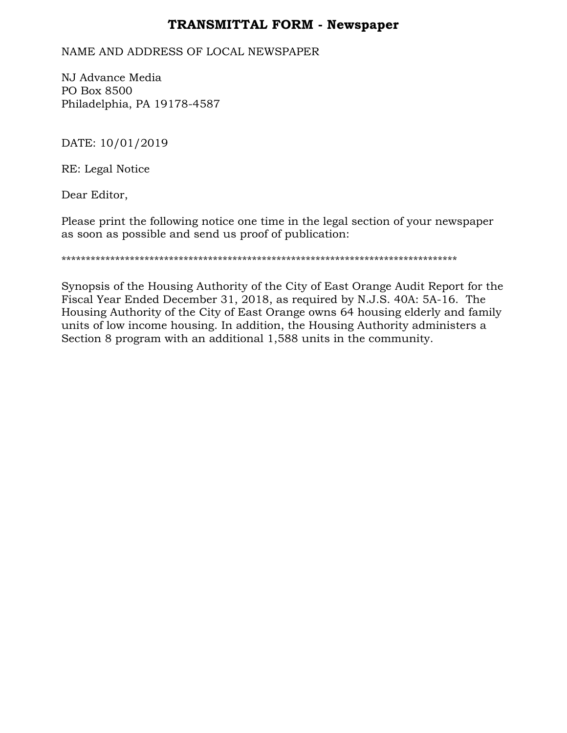## **TRANSMITTAL FORM - Newspaper**

## NAME AND ADDRESS OF LOCAL NEWSPAPER

NJ Advance Media PO Box 8500 Philadelphia, PA 19178-4587

DATE: 10/01/2019

RE: Legal Notice

Dear Editor,

Please print the following notice one time in the legal section of your newspaper as soon as possible and send us proof of publication:

\*\*\*\*\*\*\*\*\*\*\*\*\*\*\*\*\*\*\*\*\*\*\*\*\*\*\*\*\*\*\*\*\*\*\*\*\*\*\*\*\*\*\*\*\*\*\*\*\*\*\*\*\*\*\*\*\*\*\*\*\*\*\*\*\*\*\*\*\*\*\*\*\*\*\*\*\*\*\*\*\*

Synopsis of the Housing Authority of the City of East Orange Audit Report for the Fiscal Year Ended December 31, 2018, as required by N.J.S. 40A: 5A-16. The Housing Authority of the City of East Orange owns 64 housing elderly and family units of low income housing. In addition, the Housing Authority administers a Section 8 program with an additional 1,588 units in the community.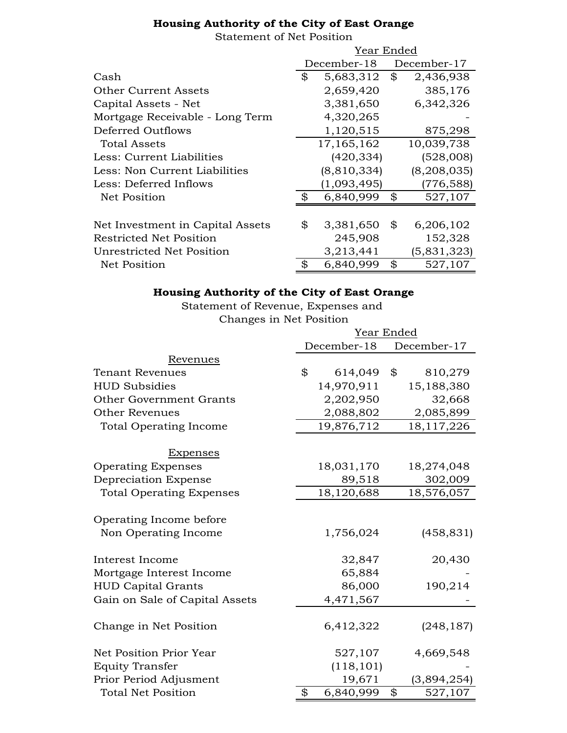## **Housing Authority of the City of East Orange**

Statement of Net Position

|                                  | Year Ended |               |    |               |
|----------------------------------|------------|---------------|----|---------------|
|                                  |            | December-18   |    | December-17   |
| Cash                             | \$         | 5,683,312     | \$ | 2,436,938     |
| <b>Other Current Assets</b>      |            | 2,659,420     |    | 385,176       |
| Capital Assets - Net             |            | 3,381,650     |    | 6,342,326     |
| Mortgage Receivable - Long Term  |            | 4,320,265     |    |               |
| Deferred Outflows                |            | 1,120,515     |    | 875,298       |
| Total Assets                     |            | 17, 165, 162  |    | 10,039,738    |
| Less: Current Liabilities        |            | (420, 334)    |    | (528,008)     |
| Less: Non Current Liabilities    |            | (8, 810, 334) |    | (8, 208, 035) |
| Less: Deferred Inflows           |            | (1,093,495)   |    | (776,588)     |
| Net Position                     | \$         | 6,840,999     | \$ | 527,107       |
|                                  |            |               |    |               |
| Net Investment in Capital Assets | \$         | 3,381,650     | \$ | 6,206,102     |
| Restricted Net Position          |            | 245,908       |    | 152,328       |
| Unrestricted Net Position        |            | 3,213,441     |    | (5,831,323)   |
| Net Position                     | \$         | 6,840,999     | \$ | 527,107       |

## **Housing Authority of the City of East Orange**

Statement of Revenue, Expenses and Changes in Net Position

|                                 | Year Ended      |                |             |  |
|---------------------------------|-----------------|----------------|-------------|--|
|                                 | December-18     |                | December-17 |  |
| Revenues                        |                 |                |             |  |
| <b>Tenant Revenues</b>          | \$<br>614,049   | $\mathfrak{B}$ | 810,279     |  |
| <b>HUD Subsidies</b>            | 14,970,911      |                | 15,188,380  |  |
| <b>Other Government Grants</b>  | 2,202,950       |                | 32,668      |  |
| <b>Other Revenues</b>           | 2,088,802       |                | 2,085,899   |  |
| <b>Total Operating Income</b>   | 19,876,712      |                | 18,117,226  |  |
| <u>Expenses</u>                 |                 |                |             |  |
| <b>Operating Expenses</b>       | 18,031,170      |                | 18,274,048  |  |
| Depreciation Expense            | 89,518          |                | 302,009     |  |
| <b>Total Operating Expenses</b> | 18,120,688      |                | 18,576,057  |  |
| Operating Income before         |                 |                |             |  |
| Non Operating Income            | 1,756,024       |                | (458, 831)  |  |
| Interest Income                 | 32,847          |                | 20,430      |  |
| Mortgage Interest Income        | 65,884          |                |             |  |
| <b>HUD Capital Grants</b>       | 86,000          |                | 190,214     |  |
| Gain on Sale of Capital Assets  | 4,471,567       |                |             |  |
| Change in Net Position          | 6,412,322       |                | (248, 187)  |  |
| Net Position Prior Year         | 527,107         |                | 4,669,548   |  |
| <b>Equity Transfer</b>          | (118, 101)      |                |             |  |
| Prior Period Adjusment          | 19,671          |                | (3,894,254) |  |
| <b>Total Net Position</b>       | \$<br>6,840,999 | \$             | 527,107     |  |